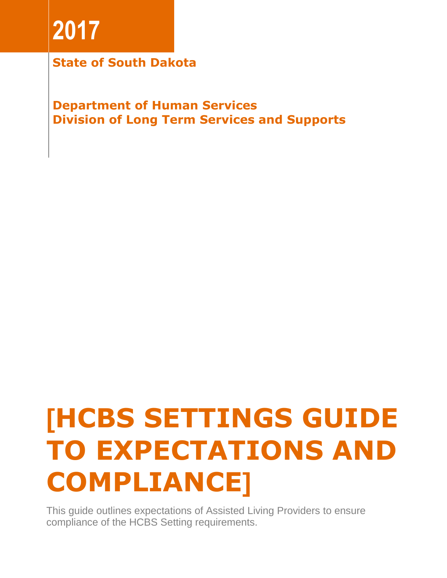# **2017**

**State of South Dakota**

**Department of Human Services Division of Long Term Services and Supports**

# **[HCBS SETTINGS GUIDE TO EXPECTATIONS AND COMPLIANCE]**

This guide outlines expectations of Assisted Living Providers to ensure compliance of the HCBS Setting requirements.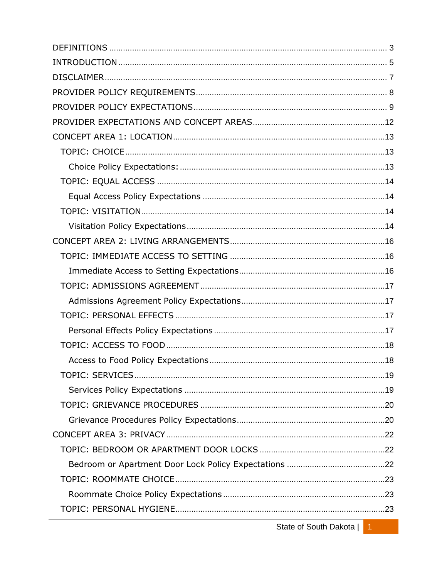State of South Dakota | 1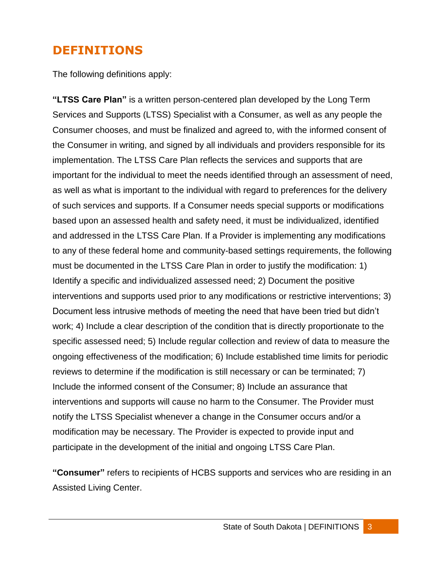# <span id="page-3-0"></span>**DEFINITIONS**

The following definitions apply:

**"LTSS Care Plan"** is a written person-centered plan developed by the Long Term Services and Supports (LTSS) Specialist with a Consumer, as well as any people the Consumer chooses, and must be finalized and agreed to, with the informed consent of the Consumer in writing, and signed by all individuals and providers responsible for its implementation. The LTSS Care Plan reflects the services and supports that are important for the individual to meet the needs identified through an assessment of need, as well as what is important to the individual with regard to preferences for the delivery of such services and supports. If a Consumer needs special supports or modifications based upon an assessed health and safety need, it must be individualized, identified and addressed in the LTSS Care Plan. If a Provider is implementing any modifications to any of these federal home and community-based settings requirements, the following must be documented in the LTSS Care Plan in order to justify the modification: 1) Identify a specific and individualized assessed need; 2) Document the positive interventions and supports used prior to any modifications or restrictive interventions; 3) Document less intrusive methods of meeting the need that have been tried but didn't work; 4) Include a clear description of the condition that is directly proportionate to the specific assessed need; 5) Include regular collection and review of data to measure the ongoing effectiveness of the modification; 6) Include established time limits for periodic reviews to determine if the modification is still necessary or can be terminated; 7) Include the informed consent of the Consumer; 8) Include an assurance that interventions and supports will cause no harm to the Consumer. The Provider must notify the LTSS Specialist whenever a change in the Consumer occurs and/or a modification may be necessary. The Provider is expected to provide input and participate in the development of the initial and ongoing LTSS Care Plan.

**"Consumer"** refers to recipients of HCBS supports and services who are residing in an Assisted Living Center.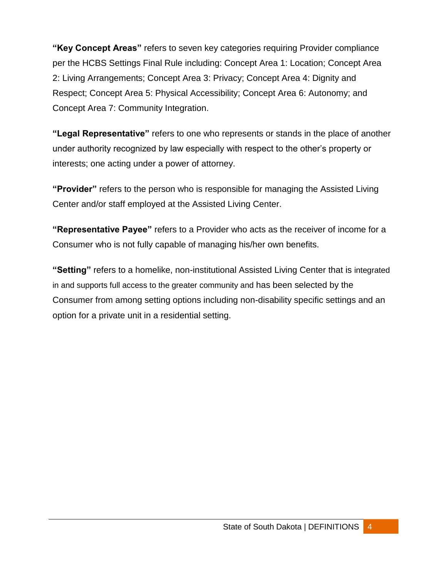**"Key Concept Areas"** refers to seven key categories requiring Provider compliance per the HCBS Settings Final Rule including: Concept Area 1: Location; Concept Area 2: Living Arrangements; Concept Area 3: Privacy; Concept Area 4: Dignity and Respect; Concept Area 5: Physical Accessibility; Concept Area 6: Autonomy; and Concept Area 7: Community Integration.

**"Legal Representative"** refers to one who represents or stands in the place of another under authority recognized by law especially with respect to the other's property or interests; one acting under a power of attorney.

**"Provider"** refers to the person who is responsible for managing the Assisted Living Center and/or staff employed at the Assisted Living Center.

**"Representative Payee"** refers to a Provider who acts as the receiver of income for a Consumer who is not fully capable of managing his/her own benefits.

**"Setting"** refers to a homelike, non-institutional Assisted Living Center that is integrated in and supports full access to the greater community and has been selected by the Consumer from among setting options including non-disability specific settings and an option for a private unit in a residential setting.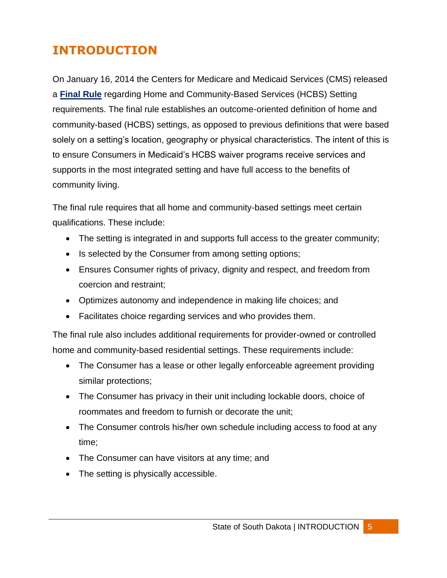# <span id="page-5-0"></span>**INTRODUCTION**

On January 16, 2014 the Centers for Medicare and Medicaid Services (CMS) released a **[Final Rule](https://www.medicaid.gov/Medicaid-CHIP-Program-Information/By-Topics/Long-Term-Services-and-Supports/Home-and-Community-Based-Services/Home-and-Community-Based-Services.html)** regarding Home and Community-Based Services (HCBS) Setting requirements. The final rule establishes an outcome-oriented definition of home and community-based (HCBS) settings, as opposed to previous definitions that were based solely on a setting's location, geography or physical characteristics. The intent of this is to ensure Consumers in Medicaid's HCBS waiver programs receive services and supports in the most integrated setting and have full access to the benefits of community living.

The final rule requires that all home and community-based settings meet certain qualifications. These include:

- The setting is integrated in and supports full access to the greater community;
- Is selected by the Consumer from among setting options;
- Ensures Consumer rights of privacy, dignity and respect, and freedom from coercion and restraint;
- Optimizes autonomy and independence in making life choices; and
- Facilitates choice regarding services and who provides them.

The final rule also includes additional requirements for provider-owned or controlled home and community-based residential settings. These requirements include:

- The Consumer has a lease or other legally enforceable agreement providing similar protections;
- The Consumer has privacy in their unit including lockable doors, choice of roommates and freedom to furnish or decorate the unit;
- The Consumer controls his/her own schedule including access to food at any time;
- The Consumer can have visitors at any time; and
- The setting is physically accessible.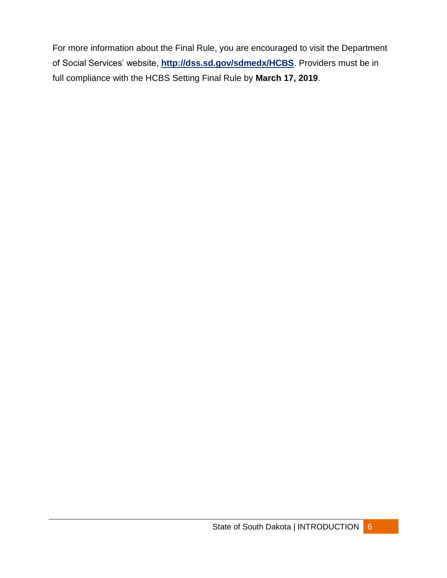For more information about the Final Rule, you are encouraged to visit the Department of Social Services' website, **<http://dss.sd.gov/sdmedx/HCBS>**. Providers must be in full compliance with the HCBS Setting Final Rule by **March 17, 2019**.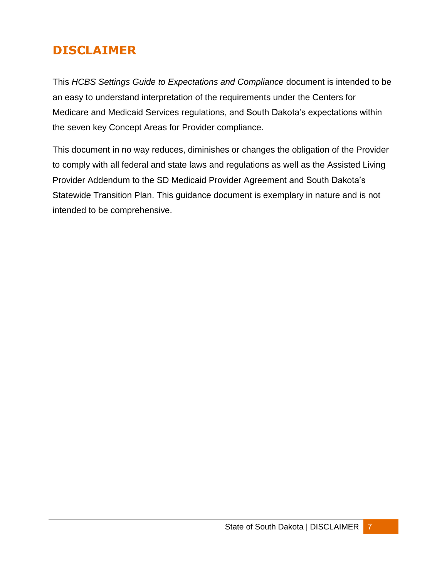# <span id="page-7-0"></span>**DISCLAIMER**

This *HCBS Settings Guide to Expectations and Compliance* document is intended to be an easy to understand interpretation of the requirements under the Centers for Medicare and Medicaid Services regulations, and South Dakota's expectations within the seven key Concept Areas for Provider compliance.

This document in no way reduces, diminishes or changes the obligation of the Provider to comply with all federal and state laws and regulations as well as the Assisted Living Provider Addendum to the SD Medicaid Provider Agreement and South Dakota's Statewide Transition Plan. This guidance document is exemplary in nature and is not intended to be comprehensive.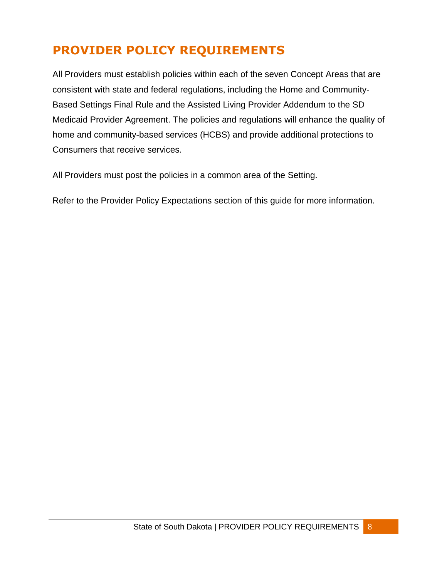# <span id="page-8-0"></span>**PROVIDER POLICY REQUIREMENTS**

All Providers must establish policies within each of the seven Concept Areas that are consistent with state and federal regulations, including the Home and Community-Based Settings Final Rule and the Assisted Living Provider Addendum to the SD Medicaid Provider Agreement. The policies and regulations will enhance the quality of home and community-based services (HCBS) and provide additional protections to Consumers that receive services.

All Providers must post the policies in a common area of the Setting.

Refer to the Provider Policy Expectations section of this guide for more information.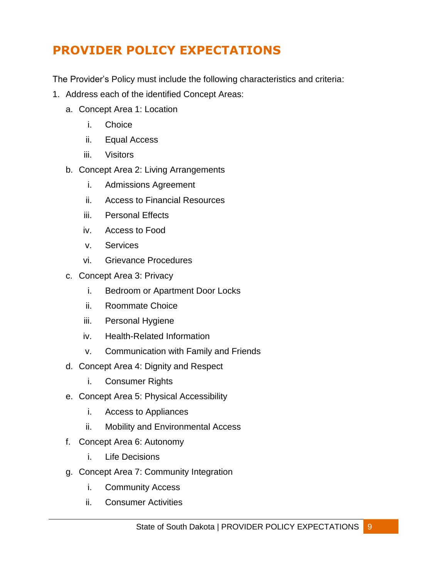# <span id="page-9-0"></span>**PROVIDER POLICY EXPECTATIONS**

The Provider's Policy must include the following characteristics and criteria:

- 1. Address each of the identified Concept Areas:
	- a. Concept Area 1: Location
		- i. Choice
		- ii. Equal Access
		- iii. Visitors
	- b. Concept Area 2: Living Arrangements
		- i. Admissions Agreement
		- ii. Access to Financial Resources
		- iii. Personal Effects
		- iv. Access to Food
		- v. Services
		- vi. Grievance Procedures
	- c. Concept Area 3: Privacy
		- i. Bedroom or Apartment Door Locks
		- ii. Roommate Choice
		- iii. Personal Hygiene
		- iv. Health-Related Information
		- v. Communication with Family and Friends
	- d. Concept Area 4: Dignity and Respect
		- i. Consumer Rights
	- e. Concept Area 5: Physical Accessibility
		- i. Access to Appliances
		- ii. Mobility and Environmental Access
	- f. Concept Area 6: Autonomy
		- i. Life Decisions
	- g. Concept Area 7: Community Integration
		- i. Community Access
		- ii. Consumer Activities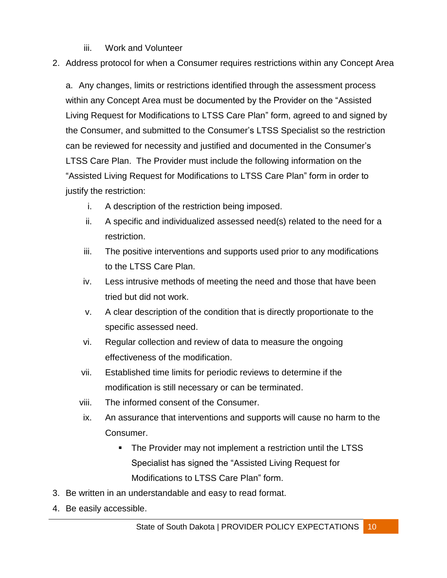- iii. Work and Volunteer
- 2. Address protocol for when a Consumer requires restrictions within any Concept Area

a. Any changes, limits or restrictions identified through the assessment process within any Concept Area must be documented by the Provider on the "Assisted Living Request for Modifications to LTSS Care Plan" form, agreed to and signed by the Consumer, and submitted to the Consumer's LTSS Specialist so the restriction can be reviewed for necessity and justified and documented in the Consumer's LTSS Care Plan. The Provider must include the following information on the "Assisted Living Request for Modifications to LTSS Care Plan" form in order to justify the restriction:

- i. A description of the restriction being imposed.
- ii. A specific and individualized assessed need(s) related to the need for a restriction.
- iii. The positive interventions and supports used prior to any modifications to the LTSS Care Plan.
- iv. Less intrusive methods of meeting the need and those that have been tried but did not work.
- v. A clear description of the condition that is directly proportionate to the specific assessed need.
- vi. Regular collection and review of data to measure the ongoing effectiveness of the modification.
- vii. Established time limits for periodic reviews to determine if the modification is still necessary or can be terminated.
- viii. The informed consent of the Consumer.
- ix. An assurance that interventions and supports will cause no harm to the Consumer.
	- The Provider may not implement a restriction until the LTSS Specialist has signed the "Assisted Living Request for Modifications to LTSS Care Plan" form.
- 3. Be written in an understandable and easy to read format.
- 4. Be easily accessible.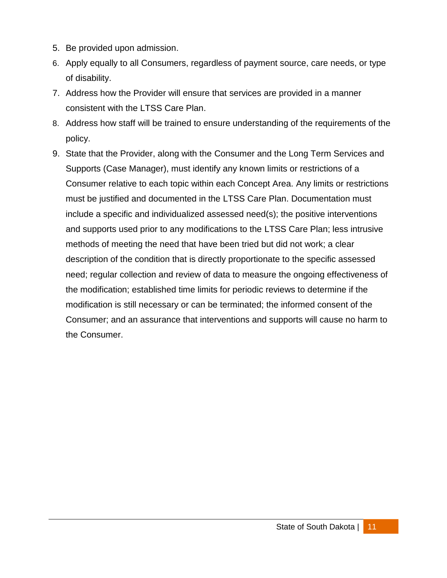- 5. Be provided upon admission.
- 6. Apply equally to all Consumers, regardless of payment source, care needs, or type of disability.
- 7. Address how the Provider will ensure that services are provided in a manner consistent with the LTSS Care Plan.
- 8. Address how staff will be trained to ensure understanding of the requirements of the policy.
- <span id="page-11-0"></span>9. State that the Provider, along with the Consumer and the Long Term Services and Supports (Case Manager), must identify any known limits or restrictions of a Consumer relative to each topic within each Concept Area. Any limits or restrictions must be justified and documented in the LTSS Care Plan. Documentation must include a specific and individualized assessed need(s); the positive interventions and supports used prior to any modifications to the LTSS Care Plan; less intrusive methods of meeting the need that have been tried but did not work; a clear description of the condition that is directly proportionate to the specific assessed need; regular collection and review of data to measure the ongoing effectiveness of the modification; established time limits for periodic reviews to determine if the modification is still necessary or can be terminated; the informed consent of the Consumer; and an assurance that interventions and supports will cause no harm to the Consumer.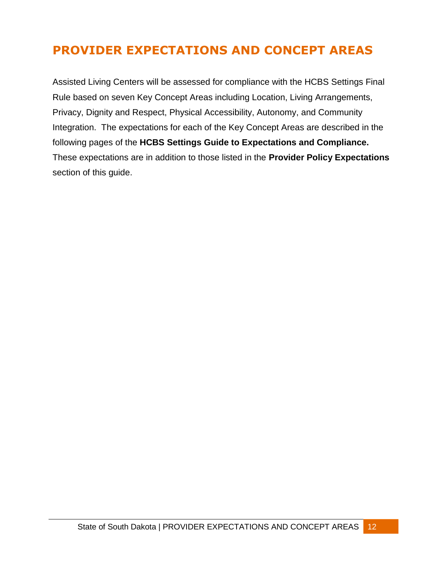# **PROVIDER EXPECTATIONS AND CONCEPT AREAS**

Assisted Living Centers will be assessed for compliance with the HCBS Settings Final Rule based on seven Key Concept Areas including Location, Living Arrangements, Privacy, Dignity and Respect, Physical Accessibility, Autonomy, and Community Integration. The expectations for each of the Key Concept Areas are described in the following pages of the **HCBS Settings Guide to Expectations and Compliance.**  These expectations are in addition to those listed in the **Provider Policy Expectations** section of this guide.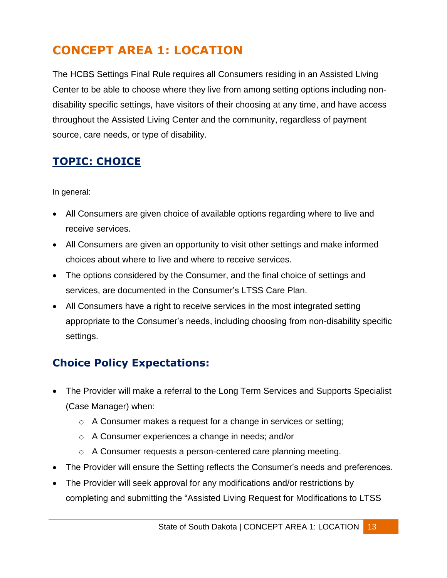# <span id="page-13-0"></span>**CONCEPT AREA 1: LOCATION**

The HCBS Settings Final Rule requires all Consumers residing in an Assisted Living Center to be able to choose where they live from among setting options including nondisability specific settings, have visitors of their choosing at any time, and have access throughout the Assisted Living Center and the community, regardless of payment source, care needs, or type of disability.

## <span id="page-13-1"></span>**TOPIC: CHOICE**

In general:

- All Consumers are given choice of available options regarding where to live and receive services.
- All Consumers are given an opportunity to visit other settings and make informed choices about where to live and where to receive services.
- The options considered by the Consumer, and the final choice of settings and services, are documented in the Consumer's LTSS Care Plan.
- All Consumers have a right to receive services in the most integrated setting appropriate to the Consumer's needs, including choosing from non-disability specific settings.

## <span id="page-13-2"></span>**Choice Policy Expectations:**

- The Provider will make a referral to the Long Term Services and Supports Specialist (Case Manager) when:
	- o A Consumer makes a request for a change in services or setting;
	- o A Consumer experiences a change in needs; and/or
	- o A Consumer requests a person-centered care planning meeting.
- The Provider will ensure the Setting reflects the Consumer's needs and preferences.
- The Provider will seek approval for any modifications and/or restrictions by completing and submitting the "Assisted Living Request for Modifications to LTSS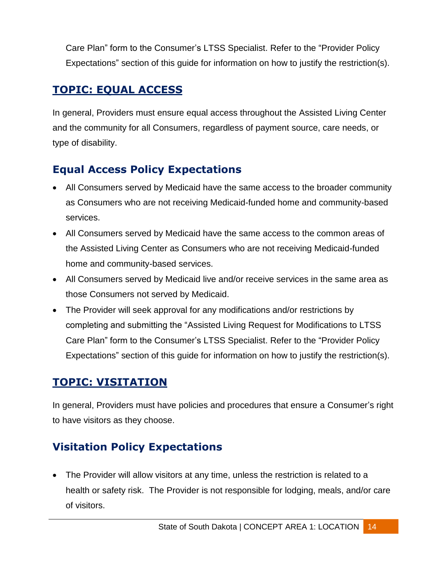Care Plan" form to the Consumer's LTSS Specialist. Refer to the "Provider Policy Expectations" section of this guide for information on how to justify the restriction(s).

## <span id="page-14-0"></span>**TOPIC: EQUAL ACCESS**

In general, Providers must ensure equal access throughout the Assisted Living Center and the community for all Consumers, regardless of payment source, care needs, or type of disability.

## <span id="page-14-1"></span>**Equal Access Policy Expectations**

- All Consumers served by Medicaid have the same access to the broader community as Consumers who are not receiving Medicaid-funded home and community-based services.
- All Consumers served by Medicaid have the same access to the common areas of the Assisted Living Center as Consumers who are not receiving Medicaid-funded home and community-based services.
- All Consumers served by Medicaid live and/or receive services in the same area as those Consumers not served by Medicaid.
- The Provider will seek approval for any modifications and/or restrictions by completing and submitting the "Assisted Living Request for Modifications to LTSS Care Plan" form to the Consumer's LTSS Specialist. Refer to the "Provider Policy Expectations" section of this guide for information on how to justify the restriction(s).

## <span id="page-14-2"></span>**TOPIC: VISITATION**

In general, Providers must have policies and procedures that ensure a Consumer's right to have visitors as they choose.

## <span id="page-14-3"></span>**Visitation Policy Expectations**

 The Provider will allow visitors at any time, unless the restriction is related to a health or safety risk. The Provider is not responsible for lodging, meals, and/or care of visitors.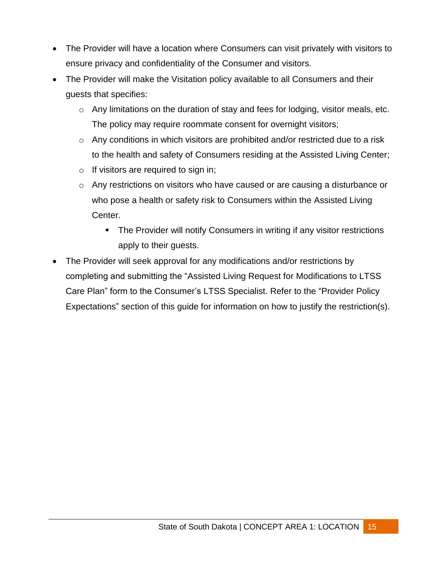- The Provider will have a location where Consumers can visit privately with visitors to ensure privacy and confidentiality of the Consumer and visitors.
- The Provider will make the Visitation policy available to all Consumers and their guests that specifies:
	- o Any limitations on the duration of stay and fees for lodging, visitor meals, etc. The policy may require roommate consent for overnight visitors;
	- $\circ$  Any conditions in which visitors are prohibited and/or restricted due to a risk to the health and safety of Consumers residing at the Assisted Living Center;
	- $\circ$  If visitors are required to sign in;
	- o Any restrictions on visitors who have caused or are causing a disturbance or who pose a health or safety risk to Consumers within the Assisted Living Center.
		- **The Provider will notify Consumers in writing if any visitor restrictions** apply to their guests.
- The Provider will seek approval for any modifications and/or restrictions by completing and submitting the "Assisted Living Request for Modifications to LTSS Care Plan" form to the Consumer's LTSS Specialist. Refer to the "Provider Policy Expectations" section of this guide for information on how to justify the restriction(s).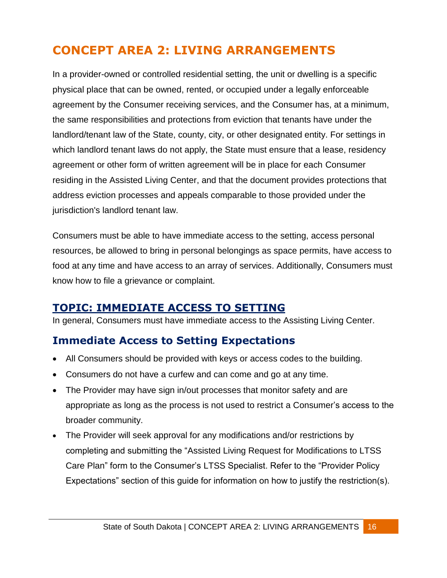# <span id="page-16-0"></span>**CONCEPT AREA 2: LIVING ARRANGEMENTS**

In a provider-owned or controlled residential setting, the unit or dwelling is a specific physical place that can be owned, rented, or occupied under a legally enforceable agreement by the Consumer receiving services, and the Consumer has, at a minimum, the same responsibilities and protections from eviction that tenants have under the landlord/tenant law of the State, county, city, or other designated entity. For settings in which landlord tenant laws do not apply, the State must ensure that a lease, residency agreement or other form of written agreement will be in place for each Consumer residing in the Assisted Living Center, and that the document provides protections that address eviction processes and appeals comparable to those provided under the jurisdiction's landlord tenant law.

Consumers must be able to have immediate access to the setting, access personal resources, be allowed to bring in personal belongings as space permits, have access to food at any time and have access to an array of services. Additionally, Consumers must know how to file a grievance or complaint.

#### <span id="page-16-1"></span>**TOPIC: IMMEDIATE ACCESS TO SETTING**

In general, Consumers must have immediate access to the Assisting Living Center.

#### <span id="page-16-2"></span>**Immediate Access to Setting Expectations**

- All Consumers should be provided with keys or access codes to the building.
- Consumers do not have a curfew and can come and go at any time.
- The Provider may have sign in/out processes that monitor safety and are appropriate as long as the process is not used to restrict a Consumer's access to the broader community.
- The Provider will seek approval for any modifications and/or restrictions by completing and submitting the "Assisted Living Request for Modifications to LTSS Care Plan" form to the Consumer's LTSS Specialist. Refer to the "Provider Policy Expectations" section of this guide for information on how to justify the restriction(s).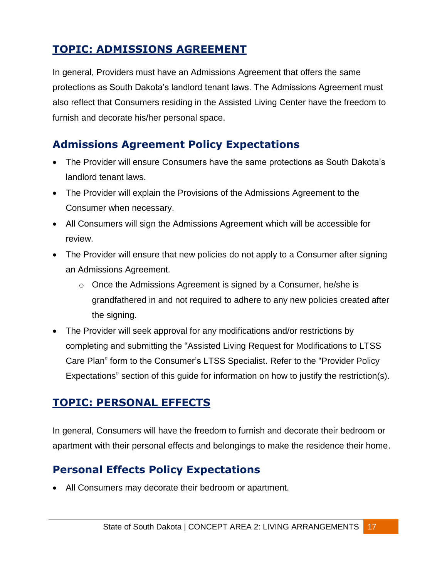## <span id="page-17-0"></span>**TOPIC: ADMISSIONS AGREEMENT**

In general, Providers must have an Admissions Agreement that offers the same protections as South Dakota's landlord tenant laws. The Admissions Agreement must also reflect that Consumers residing in the Assisted Living Center have the freedom to furnish and decorate his/her personal space.

## <span id="page-17-1"></span>**Admissions Agreement Policy Expectations**

- The Provider will ensure Consumers have the same protections as South Dakota's landlord tenant laws.
- The Provider will explain the Provisions of the Admissions Agreement to the Consumer when necessary.
- All Consumers will sign the Admissions Agreement which will be accessible for review.
- The Provider will ensure that new policies do not apply to a Consumer after signing an Admissions Agreement.
	- o Once the Admissions Agreement is signed by a Consumer, he/she is grandfathered in and not required to adhere to any new policies created after the signing.
- The Provider will seek approval for any modifications and/or restrictions by completing and submitting the "Assisted Living Request for Modifications to LTSS Care Plan" form to the Consumer's LTSS Specialist. Refer to the "Provider Policy Expectations" section of this guide for information on how to justify the restriction(s).

#### <span id="page-17-2"></span>**TOPIC: PERSONAL EFFECTS**

In general, Consumers will have the freedom to furnish and decorate their bedroom or apartment with their personal effects and belongings to make the residence their home.

#### <span id="page-17-3"></span>**Personal Effects Policy Expectations**

All Consumers may decorate their bedroom or apartment.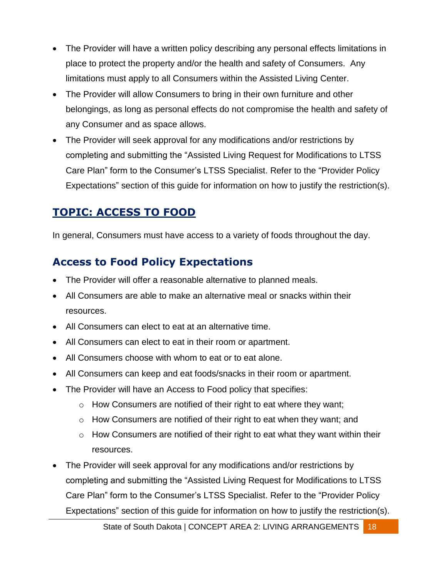- The Provider will have a written policy describing any personal effects limitations in place to protect the property and/or the health and safety of Consumers. Any limitations must apply to all Consumers within the Assisted Living Center.
- The Provider will allow Consumers to bring in their own furniture and other belongings, as long as personal effects do not compromise the health and safety of any Consumer and as space allows.
- The Provider will seek approval for any modifications and/or restrictions by completing and submitting the "Assisted Living Request for Modifications to LTSS Care Plan" form to the Consumer's LTSS Specialist. Refer to the "Provider Policy Expectations" section of this guide for information on how to justify the restriction(s).

### <span id="page-18-0"></span>**TOPIC: ACCESS TO FOOD**

In general, Consumers must have access to a variety of foods throughout the day.

## <span id="page-18-1"></span>**Access to Food Policy Expectations**

- The Provider will offer a reasonable alternative to planned meals.
- All Consumers are able to make an alternative meal or snacks within their resources.
- All Consumers can elect to eat at an alternative time.
- All Consumers can elect to eat in their room or apartment.
- All Consumers choose with whom to eat or to eat alone.
- All Consumers can keep and eat foods/snacks in their room or apartment.
- The Provider will have an Access to Food policy that specifies:
	- $\circ$  How Consumers are notified of their right to eat where they want;
	- o How Consumers are notified of their right to eat when they want; and
	- $\circ$  How Consumers are notified of their right to eat what they want within their resources.
- The Provider will seek approval for any modifications and/or restrictions by completing and submitting the "Assisted Living Request for Modifications to LTSS Care Plan" form to the Consumer's LTSS Specialist. Refer to the "Provider Policy Expectations" section of this guide for information on how to justify the restriction(s).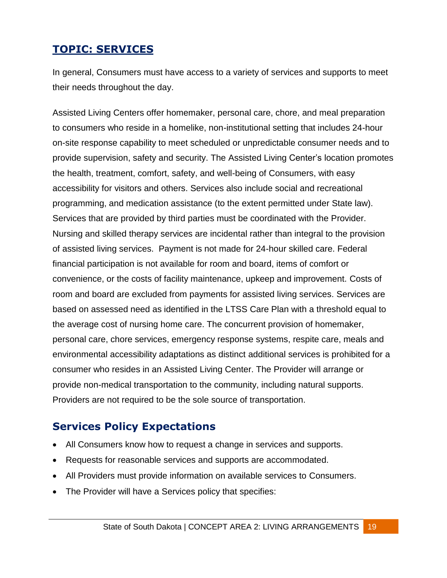## <span id="page-19-0"></span>**TOPIC: SERVICES**

In general, Consumers must have access to a variety of services and supports to meet their needs throughout the day.

Assisted Living Centers offer homemaker, personal care, chore, and meal preparation to consumers who reside in a homelike, non-institutional setting that includes 24-hour on-site response capability to meet scheduled or unpredictable consumer needs and to provide supervision, safety and security. The Assisted Living Center's location promotes the health, treatment, comfort, safety, and well-being of Consumers, with easy accessibility for visitors and others. Services also include social and recreational programming, and medication assistance (to the extent permitted under State law). Services that are provided by third parties must be coordinated with the Provider. Nursing and skilled therapy services are incidental rather than integral to the provision of assisted living services. Payment is not made for 24-hour skilled care. Federal financial participation is not available for room and board, items of comfort or convenience, or the costs of facility maintenance, upkeep and improvement. Costs of room and board are excluded from payments for assisted living services. Services are based on assessed need as identified in the LTSS Care Plan with a threshold equal to the average cost of nursing home care. The concurrent provision of homemaker, personal care, chore services, emergency response systems, respite care, meals and environmental accessibility adaptations as distinct additional services is prohibited for a consumer who resides in an Assisted Living Center. The Provider will arrange or provide non-medical transportation to the community, including natural supports. Providers are not required to be the sole source of transportation.

#### <span id="page-19-1"></span>**Services Policy Expectations**

- All Consumers know how to request a change in services and supports.
- Requests for reasonable services and supports are accommodated.
- All Providers must provide information on available services to Consumers.
- The Provider will have a Services policy that specifies: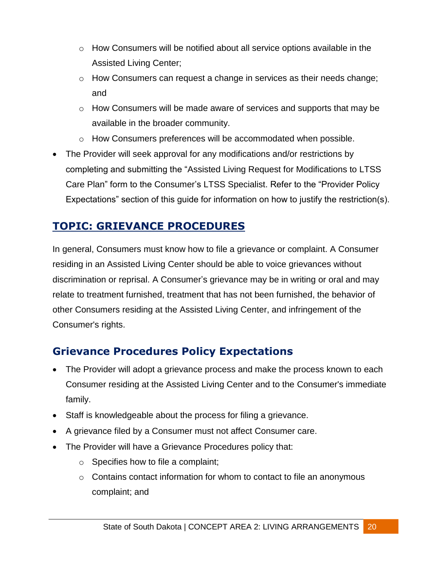- o How Consumers will be notified about all service options available in the Assisted Living Center;
- $\circ$  How Consumers can request a change in services as their needs change; and
- o How Consumers will be made aware of services and supports that may be available in the broader community.
- o How Consumers preferences will be accommodated when possible.
- The Provider will seek approval for any modifications and/or restrictions by completing and submitting the "Assisted Living Request for Modifications to LTSS Care Plan" form to the Consumer's LTSS Specialist. Refer to the "Provider Policy Expectations" section of this guide for information on how to justify the restriction(s).

## <span id="page-20-0"></span>**TOPIC: GRIEVANCE PROCEDURES**

In general, Consumers must know how to file a grievance or complaint. A Consumer residing in an Assisted Living Center should be able to voice grievances without discrimination or reprisal. A Consumer's grievance may be in writing or oral and may relate to treatment furnished, treatment that has not been furnished, the behavior of other Consumers residing at the Assisted Living Center, and infringement of the Consumer's rights.

## <span id="page-20-1"></span>**Grievance Procedures Policy Expectations**

- The Provider will adopt a grievance process and make the process known to each Consumer residing at the Assisted Living Center and to the Consumer's immediate family.
- Staff is knowledgeable about the process for filing a grievance.
- A grievance filed by a Consumer must not affect Consumer care.
- The Provider will have a Grievance Procedures policy that:
	- $\circ$  Specifies how to file a complaint;
	- $\circ$  Contains contact information for whom to contact to file an anonymous complaint; and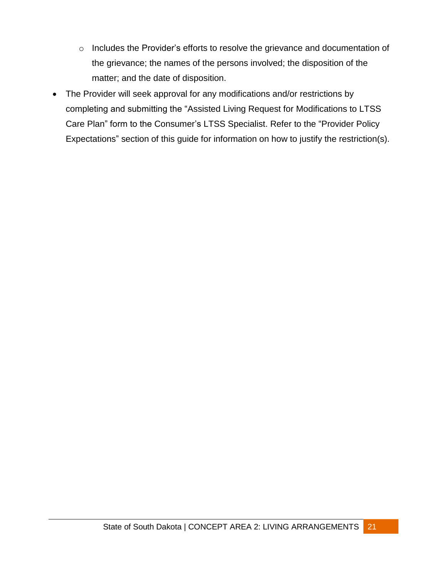- o Includes the Provider's efforts to resolve the grievance and documentation of the grievance; the names of the persons involved; the disposition of the matter; and the date of disposition.
- The Provider will seek approval for any modifications and/or restrictions by completing and submitting the "Assisted Living Request for Modifications to LTSS Care Plan" form to the Consumer's LTSS Specialist. Refer to the "Provider Policy Expectations" section of this guide for information on how to justify the restriction(s).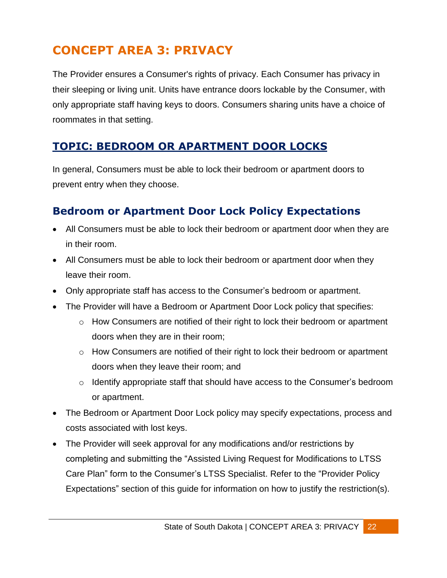# <span id="page-22-0"></span>**CONCEPT AREA 3: PRIVACY**

The Provider ensures a Consumer's rights of privacy. Each Consumer has privacy in their sleeping or living unit. Units have entrance doors lockable by the Consumer, with only appropriate staff having keys to doors. Consumers sharing units have a choice of roommates in that setting.

#### <span id="page-22-1"></span>**TOPIC: BEDROOM OR APARTMENT DOOR LOCKS**

In general, Consumers must be able to lock their bedroom or apartment doors to prevent entry when they choose.

## <span id="page-22-2"></span>**Bedroom or Apartment Door Lock Policy Expectations**

- All Consumers must be able to lock their bedroom or apartment door when they are in their room.
- All Consumers must be able to lock their bedroom or apartment door when they leave their room.
- Only appropriate staff has access to the Consumer's bedroom or apartment.
- The Provider will have a Bedroom or Apartment Door Lock policy that specifies:
	- o How Consumers are notified of their right to lock their bedroom or apartment doors when they are in their room;
	- o How Consumers are notified of their right to lock their bedroom or apartment doors when they leave their room; and
	- o Identify appropriate staff that should have access to the Consumer's bedroom or apartment.
- The Bedroom or Apartment Door Lock policy may specify expectations, process and costs associated with lost keys.
- The Provider will seek approval for any modifications and/or restrictions by completing and submitting the "Assisted Living Request for Modifications to LTSS Care Plan" form to the Consumer's LTSS Specialist. Refer to the "Provider Policy Expectations" section of this guide for information on how to justify the restriction(s).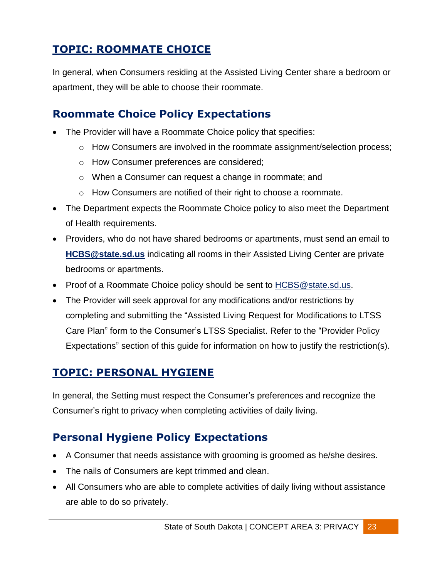## <span id="page-23-0"></span>**TOPIC: ROOMMATE CHOICE**

In general, when Consumers residing at the Assisted Living Center share a bedroom or apartment, they will be able to choose their roommate.

#### <span id="page-23-1"></span>**Roommate Choice Policy Expectations**

- The Provider will have a Roommate Choice policy that specifies:
	- o How Consumers are involved in the roommate assignment/selection process;
	- o How Consumer preferences are considered;
	- o When a Consumer can request a change in roommate; and
	- o How Consumers are notified of their right to choose a roommate.
- The Department expects the Roommate Choice policy to also meet the Department of Health requirements.
- Providers, who do not have shared bedrooms or apartments, must send an email to **[HCBS@state.sd.us](mailto:HCBS@state.sd.us)** indicating all rooms in their Assisted Living Center are private bedrooms or apartments.
- Proof of a Roommate Choice policy should be sent to **HCBS@state.sd.us.**
- The Provider will seek approval for any modifications and/or restrictions by completing and submitting the "Assisted Living Request for Modifications to LTSS Care Plan" form to the Consumer's LTSS Specialist. Refer to the "Provider Policy Expectations" section of this guide for information on how to justify the restriction(s).

#### <span id="page-23-2"></span>**TOPIC: PERSONAL HYGIENE**

In general, the Setting must respect the Consumer's preferences and recognize the Consumer's right to privacy when completing activities of daily living.

#### <span id="page-23-3"></span>**Personal Hygiene Policy Expectations**

- A Consumer that needs assistance with grooming is groomed as he/she desires.
- The nails of Consumers are kept trimmed and clean.
- All Consumers who are able to complete activities of daily living without assistance are able to do so privately.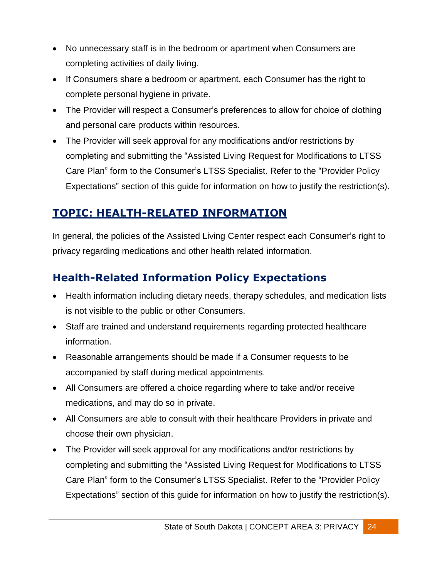- No unnecessary staff is in the bedroom or apartment when Consumers are completing activities of daily living.
- If Consumers share a bedroom or apartment, each Consumer has the right to complete personal hygiene in private.
- The Provider will respect a Consumer's preferences to allow for choice of clothing and personal care products within resources.
- The Provider will seek approval for any modifications and/or restrictions by completing and submitting the "Assisted Living Request for Modifications to LTSS Care Plan" form to the Consumer's LTSS Specialist. Refer to the "Provider Policy Expectations" section of this guide for information on how to justify the restriction(s).

## <span id="page-24-0"></span>**TOPIC: HEALTH-RELATED INFORMATION**

In general, the policies of the Assisted Living Center respect each Consumer's right to privacy regarding medications and other health related information.

## <span id="page-24-1"></span>**Health-Related Information Policy Expectations**

- Health information including dietary needs, therapy schedules, and medication lists is not visible to the public or other Consumers.
- Staff are trained and understand requirements regarding protected healthcare information.
- Reasonable arrangements should be made if a Consumer requests to be accompanied by staff during medical appointments.
- All Consumers are offered a choice regarding where to take and/or receive medications, and may do so in private.
- All Consumers are able to consult with their healthcare Providers in private and choose their own physician.
- The Provider will seek approval for any modifications and/or restrictions by completing and submitting the "Assisted Living Request for Modifications to LTSS Care Plan" form to the Consumer's LTSS Specialist. Refer to the "Provider Policy Expectations" section of this guide for information on how to justify the restriction(s).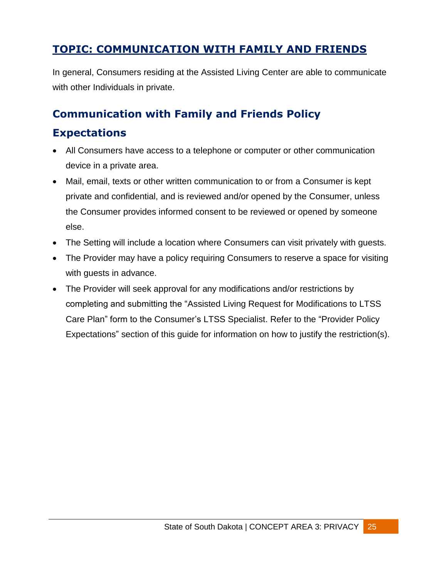## <span id="page-25-0"></span>**TOPIC: COMMUNICATION WITH FAMILY AND FRIENDS**

In general, Consumers residing at the Assisted Living Center are able to communicate with other Individuals in private.

#### <span id="page-25-1"></span>**Communication with Family and Friends Policy**

#### **Expectations**

- All Consumers have access to a telephone or computer or other communication device in a private area.
- Mail, email, texts or other written communication to or from a Consumer is kept private and confidential, and is reviewed and/or opened by the Consumer, unless the Consumer provides informed consent to be reviewed or opened by someone else.
- The Setting will include a location where Consumers can visit privately with guests.
- The Provider may have a policy requiring Consumers to reserve a space for visiting with guests in advance.
- The Provider will seek approval for any modifications and/or restrictions by completing and submitting the "Assisted Living Request for Modifications to LTSS Care Plan" form to the Consumer's LTSS Specialist. Refer to the "Provider Policy Expectations" section of this guide for information on how to justify the restriction(s).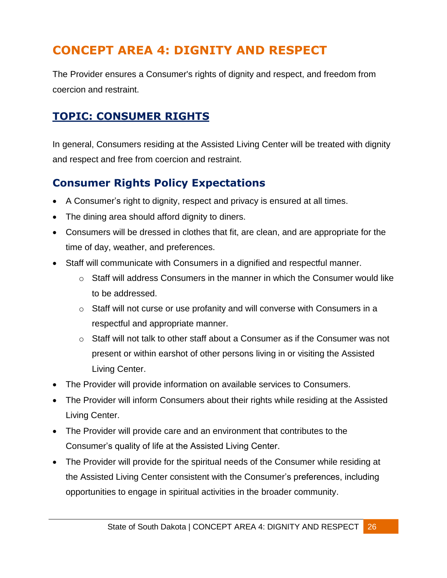# <span id="page-26-0"></span>**CONCEPT AREA 4: DIGNITY AND RESPECT**

The Provider ensures a Consumer's rights of dignity and respect, and freedom from coercion and restraint.

#### <span id="page-26-1"></span>**TOPIC: CONSUMER RIGHTS**

In general, Consumers residing at the Assisted Living Center will be treated with dignity and respect and free from coercion and restraint.

## <span id="page-26-2"></span>**Consumer Rights Policy Expectations**

- A Consumer's right to dignity, respect and privacy is ensured at all times.
- The dining area should afford dignity to diners.
- Consumers will be dressed in clothes that fit, are clean, and are appropriate for the time of day, weather, and preferences.
- Staff will communicate with Consumers in a dignified and respectful manner.
	- $\circ$  Staff will address Consumers in the manner in which the Consumer would like to be addressed.
	- o Staff will not curse or use profanity and will converse with Consumers in a respectful and appropriate manner.
	- o Staff will not talk to other staff about a Consumer as if the Consumer was not present or within earshot of other persons living in or visiting the Assisted Living Center.
- The Provider will provide information on available services to Consumers.
- The Provider will inform Consumers about their rights while residing at the Assisted Living Center.
- The Provider will provide care and an environment that contributes to the Consumer's quality of life at the Assisted Living Center.
- The Provider will provide for the spiritual needs of the Consumer while residing at the Assisted Living Center consistent with the Consumer's preferences, including opportunities to engage in spiritual activities in the broader community.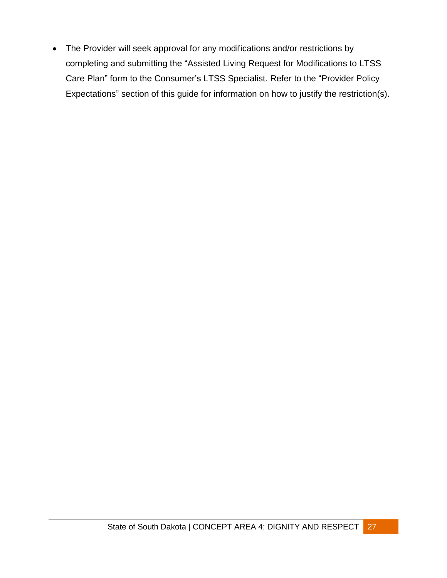The Provider will seek approval for any modifications and/or restrictions by completing and submitting the "Assisted Living Request for Modifications to LTSS Care Plan" form to the Consumer's LTSS Specialist. Refer to the "Provider Policy Expectations" section of this guide for information on how to justify the restriction(s).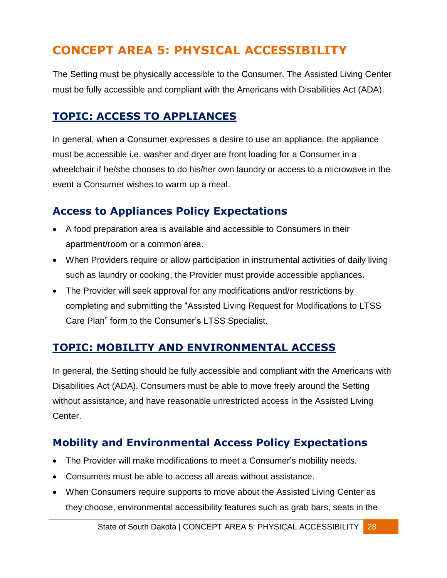# <span id="page-28-0"></span>**CONCEPT AREA 5: PHYSICAL ACCESSIBILITY**

The Setting must be physically accessible to the Consumer. The Assisted Living Center must be fully accessible and compliant with the Americans with Disabilities Act (ADA).

#### <span id="page-28-1"></span>**TOPIC: ACCESS TO APPLIANCES**

In general, when a Consumer expresses a desire to use an appliance, the appliance must be accessible i.e. washer and dryer are front loading for a Consumer in a wheelchair if he/she chooses to do his/her own laundry or access to a microwave in the event a Consumer wishes to warm up a meal.

#### <span id="page-28-2"></span>**Access to Appliances Policy Expectations**

- A food preparation area is available and accessible to Consumers in their apartment/room or a common area.
- When Providers require or allow participation in instrumental activities of daily living such as laundry or cooking, the Provider must provide accessible appliances.
- The Provider will seek approval for any modifications and/or restrictions by completing and submitting the "Assisted Living Request for Modifications to LTSS Care Plan" form to the Consumer's LTSS Specialist.

#### <span id="page-28-3"></span>**TOPIC: MOBILITY AND ENVIRONMENTAL ACCESS**

In general, the Setting should be fully accessible and compliant with the Americans with Disabilities Act (ADA). Consumers must be able to move freely around the Setting without assistance, and have reasonable unrestricted access in the Assisted Living Center.

## <span id="page-28-4"></span>**Mobility and Environmental Access Policy Expectations**

- The Provider will make modifications to meet a Consumer's mobility needs.
- Consumers must be able to access all areas without assistance.
- When Consumers require supports to move about the Assisted Living Center as they choose, environmental accessibility features such as grab bars, seats in the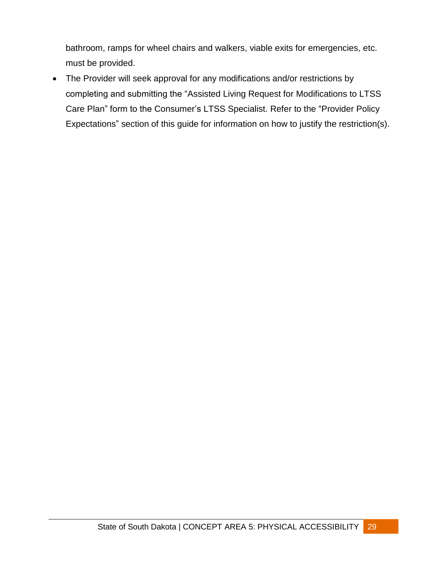bathroom, ramps for wheel chairs and walkers, viable exits for emergencies, etc. must be provided.

 The Provider will seek approval for any modifications and/or restrictions by completing and submitting the "Assisted Living Request for Modifications to LTSS Care Plan" form to the Consumer's LTSS Specialist. Refer to the "Provider Policy Expectations" section of this guide for information on how to justify the restriction(s).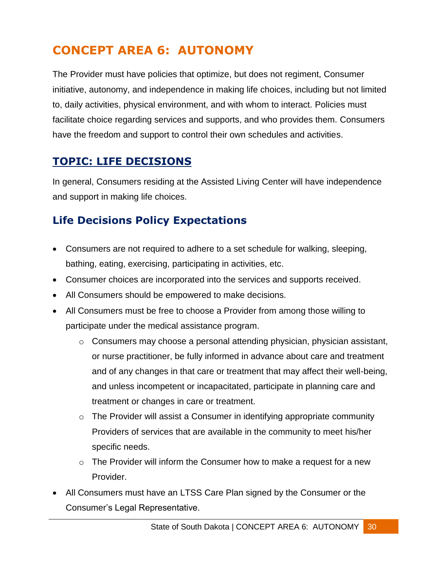# <span id="page-30-0"></span>**CONCEPT AREA 6: AUTONOMY**

The Provider must have policies that optimize, but does not regiment, Consumer initiative, autonomy, and independence in making life choices, including but not limited to, daily activities, physical environment, and with whom to interact. Policies must facilitate choice regarding services and supports, and who provides them. Consumers have the freedom and support to control their own schedules and activities.

#### **TOPIC: LIFE DECISIONS**

In general, Consumers residing at the Assisted Living Center will have independence and support in making life choices.

## <span id="page-30-1"></span>**Life Decisions Policy Expectations**

- Consumers are not required to adhere to a set schedule for walking, sleeping, bathing, eating, exercising, participating in activities, etc.
- Consumer choices are incorporated into the services and supports received.
- All Consumers should be empowered to make decisions.
- All Consumers must be free to choose a Provider from among those willing to participate under the medical assistance program.
	- o Consumers may choose a personal attending physician, physician assistant, or nurse practitioner, be fully informed in advance about care and treatment and of any changes in that care or treatment that may affect their well-being, and unless incompetent or incapacitated, participate in planning care and treatment or changes in care or treatment.
	- $\circ$  The Provider will assist a Consumer in identifying appropriate community Providers of services that are available in the community to meet his/her specific needs.
	- $\circ$  The Provider will inform the Consumer how to make a request for a new Provider.
- All Consumers must have an LTSS Care Plan signed by the Consumer or the Consumer's Legal Representative.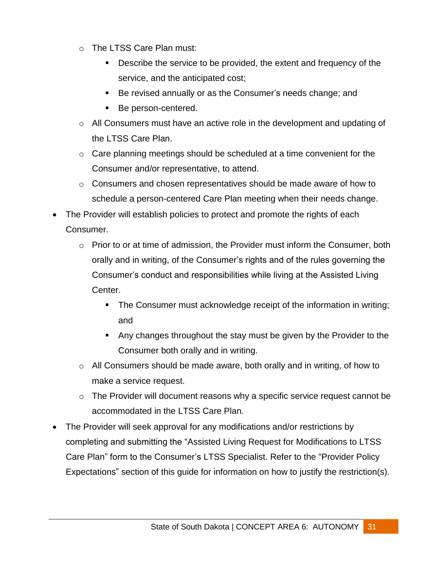- o The LTSS Care Plan must:
	- Describe the service to be provided, the extent and frequency of the service, and the anticipated cost;
	- Be revised annually or as the Consumer's needs change; and
	- Be person-centered.
- o All Consumers must have an active role in the development and updating of the LTSS Care Plan.
- $\circ$  Care planning meetings should be scheduled at a time convenient for the Consumer and/or representative, to attend.
- o Consumers and chosen representatives should be made aware of how to schedule a person-centered Care Plan meeting when their needs change.
- The Provider will establish policies to protect and promote the rights of each Consumer.
	- o Prior to or at time of admission, the Provider must inform the Consumer, both orally and in writing, of the Consumer's rights and of the rules governing the Consumer's conduct and responsibilities while living at the Assisted Living Center.
		- The Consumer must acknowledge receipt of the information in writing; and
		- Any changes throughout the stay must be given by the Provider to the Consumer both orally and in writing.
	- o All Consumers should be made aware, both orally and in writing, of how to make a service request.
	- $\circ$  The Provider will document reasons why a specific service request cannot be accommodated in the LTSS Care Plan.
- The Provider will seek approval for any modifications and/or restrictions by completing and submitting the "Assisted Living Request for Modifications to LTSS Care Plan" form to the Consumer's LTSS Specialist. Refer to the "Provider Policy Expectations" section of this guide for information on how to justify the restriction(s).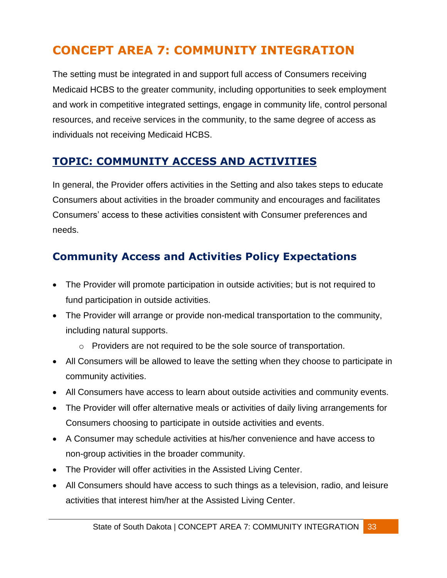# <span id="page-33-0"></span>**CONCEPT AREA 7: COMMUNITY INTEGRATION**

The setting must be integrated in and support full access of Consumers receiving Medicaid HCBS to the greater community, including opportunities to seek employment and work in competitive integrated settings, engage in community life, control personal resources, and receive services in the community, to the same degree of access as individuals not receiving Medicaid HCBS.

### <span id="page-33-1"></span>**TOPIC: COMMUNITY ACCESS AND ACTIVITIES**

In general, the Provider offers activities in the Setting and also takes steps to educate Consumers about activities in the broader community and encourages and facilitates Consumers' access to these activities consistent with Consumer preferences and needs.

### <span id="page-33-2"></span>**Community Access and Activities Policy Expectations**

- The Provider will promote participation in outside activities; but is not required to fund participation in outside activities.
- The Provider will arrange or provide non-medical transportation to the community, including natural supports.
	- o Providers are not required to be the sole source of transportation.
- All Consumers will be allowed to leave the setting when they choose to participate in community activities.
- All Consumers have access to learn about outside activities and community events.
- The Provider will offer alternative meals or activities of daily living arrangements for Consumers choosing to participate in outside activities and events.
- A Consumer may schedule activities at his/her convenience and have access to non-group activities in the broader community.
- The Provider will offer activities in the Assisted Living Center.
- All Consumers should have access to such things as a television, radio, and leisure activities that interest him/her at the Assisted Living Center.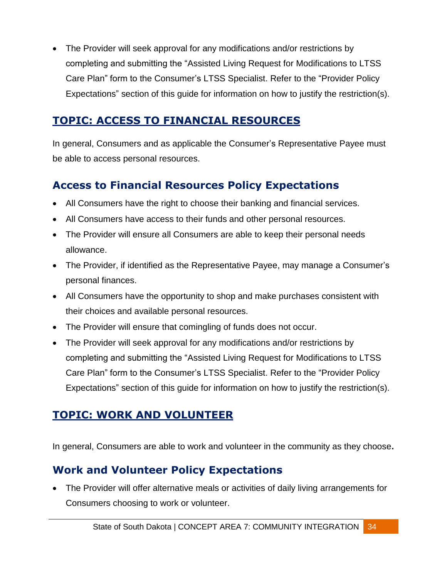• The Provider will seek approval for any modifications and/or restrictions by completing and submitting the "Assisted Living Request for Modifications to LTSS Care Plan" form to the Consumer's LTSS Specialist. Refer to the "Provider Policy Expectations" section of this guide for information on how to justify the restriction(s).

#### <span id="page-34-0"></span>**TOPIC: ACCESS TO FINANCIAL RESOURCES**

In general, Consumers and as applicable the Consumer's Representative Payee must be able to access personal resources.

#### <span id="page-34-1"></span>**Access to Financial Resources Policy Expectations**

- All Consumers have the right to choose their banking and financial services.
- All Consumers have access to their funds and other personal resources.
- The Provider will ensure all Consumers are able to keep their personal needs allowance.
- The Provider, if identified as the Representative Payee, may manage a Consumer's personal finances.
- All Consumers have the opportunity to shop and make purchases consistent with their choices and available personal resources.
- The Provider will ensure that comingling of funds does not occur.
- The Provider will seek approval for any modifications and/or restrictions by completing and submitting the "Assisted Living Request for Modifications to LTSS Care Plan" form to the Consumer's LTSS Specialist. Refer to the "Provider Policy Expectations" section of this guide for information on how to justify the restriction(s).

## <span id="page-34-2"></span>**TOPIC: WORK AND VOLUNTEER**

In general, Consumers are able to work and volunteer in the community as they choose**.**

## <span id="page-34-3"></span>**Work and Volunteer Policy Expectations**

 The Provider will offer alternative meals or activities of daily living arrangements for Consumers choosing to work or volunteer.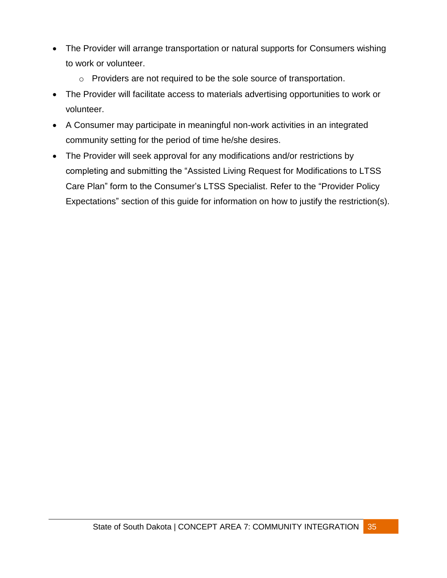- The Provider will arrange transportation or natural supports for Consumers wishing to work or volunteer.
	- o Providers are not required to be the sole source of transportation.
- The Provider will facilitate access to materials advertising opportunities to work or volunteer.
- A Consumer may participate in meaningful non-work activities in an integrated community setting for the period of time he/she desires.
- The Provider will seek approval for any modifications and/or restrictions by completing and submitting the "Assisted Living Request for Modifications to LTSS Care Plan" form to the Consumer's LTSS Specialist. Refer to the "Provider Policy Expectations" section of this guide for information on how to justify the restriction(s).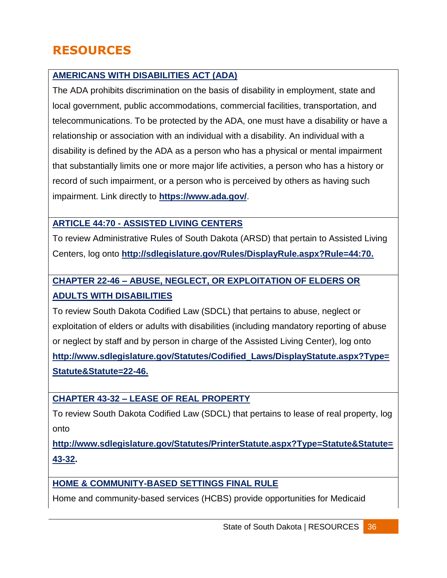# <span id="page-36-0"></span>**RESOURCES**

#### **[AMERICANS WITH DISABILITIES ACT \(ADA\)](https://www.ada.gov/)**

The ADA prohibits discrimination on the basis of disability in employment, state and local government, public accommodations, commercial facilities, transportation, and telecommunications. To be protected by the ADA, one must have a disability or have a relationship or association with an individual with a disability. An individual with a disability is defined by the ADA as a person who has a physical or mental impairment that substantially limits one or more major life activities, a person who has a history or record of such impairment, or a person who is perceived by others as having such impairment. Link directly to **<https://www.ada.gov/>**.

#### **ARTICLE 44:70 - [ASSISTED LIVING CENTERS](http://sdlegislature.gov/Rules/DisplayRule.aspx?Rule=44:70)**

To review Administrative Rules of South Dakota (ARSD) that pertain to Assisted Living Centers, log onto **[http://sdlegislature.gov/Rules/DisplayRule.aspx?Rule=44:70.](http://sdlegislature.gov/Rules/DisplayRule.aspx?Rule=44:70)**

#### **CHAPTER 22-46 – [ABUSE, NEGLECT, OR EXPLOITATION OF ELDERS OR](http://www.sdlegislature.gov/Statutes/Codified_Laws/DisplayStatute.aspx?Type=Statute&Statute=22-46)  [ADULTS WITH DISABILITIES](http://www.sdlegislature.gov/Statutes/Codified_Laws/DisplayStatute.aspx?Type=Statute&Statute=22-46)**

To review South Dakota Codified Law (SDCL) that pertains to abuse, neglect or exploitation of elders or adults with disabilities (including mandatory reporting of abuse or neglect by staff and by person in charge of the Assisted Living Center), log onto **[http://www.sdlegislature.gov/Statutes/Codified\\_Laws/DisplayStatute.aspx?Type=](http://www.sdlegislature.gov/Statutes/Codified_Laws/DisplayStatute.aspx?Type=Statute&Statute=22-46) [Statute&Statute=22-46.](http://www.sdlegislature.gov/Statutes/Codified_Laws/DisplayStatute.aspx?Type=Statute&Statute=22-46)** 

#### **CHAPTER 43-32 – [LEASE OF REAL PROPERTY](http://www.sdlegislature.gov/Statutes/Codified_Laws/DisplayStatute.aspx?Type=Statute&Statute=43-32)**

To review South Dakota Codified Law (SDCL) that pertains to lease of real property, log onto

**[http://www.sdlegislature.gov/Statutes/PrinterStatute.aspx?Type=Statute&Statute=](http://www.sdlegislature.gov/Statutes/PrinterStatute.aspx?Type=Statute&Statute=43-32) [43-32.](http://www.sdlegislature.gov/Statutes/PrinterStatute.aspx?Type=Statute&Statute=43-32)**

#### **[HOME & COMMUNITY-BASED SETTINGS FINAL RULE](https://www.medicaid.gov/medicaid-chip-program-information/by-topics/long-term-services-and-supports/home-and-community-based-services/home-and-community-based-services.html)**

Home and community-based services (HCBS) provide opportunities for Medicaid